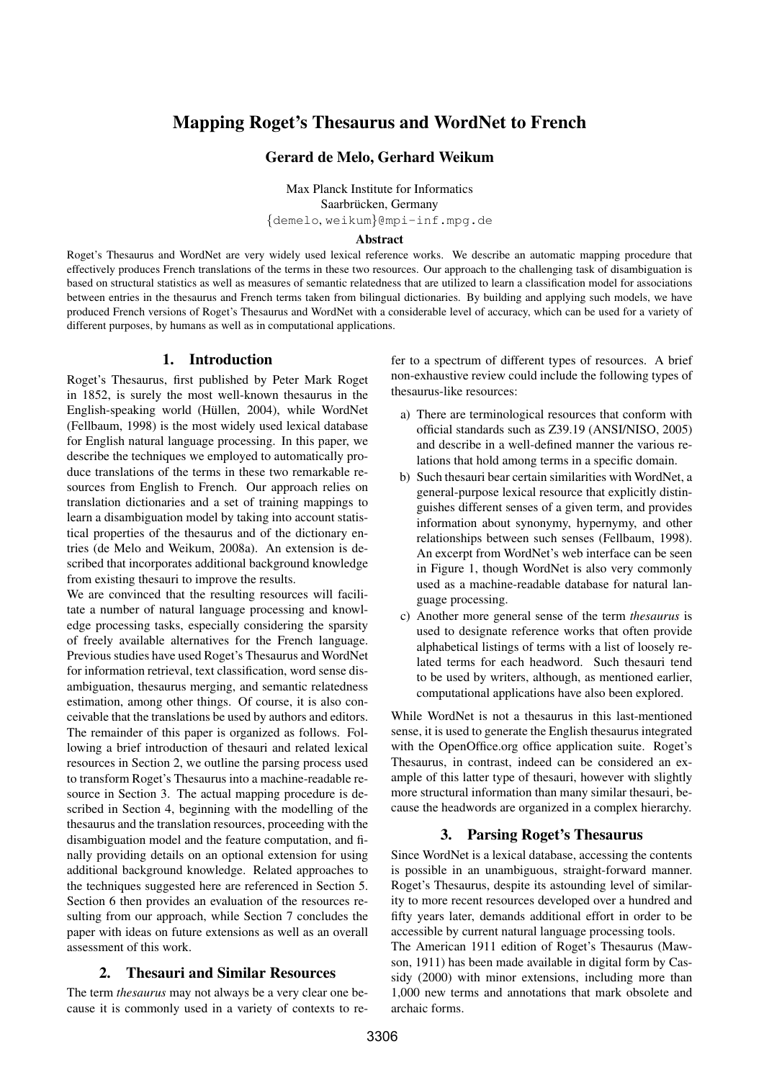# Mapping Roget's Thesaurus and WordNet to French

# Gerard de Melo, Gerhard Weikum

Max Planck Institute for Informatics Saarbrücken, Germany {demelo, weikum}@mpi-inf.mpg.de

#### Abstract

Roget's Thesaurus and WordNet are very widely used lexical reference works. We describe an automatic mapping procedure that effectively produces French translations of the terms in these two resources. Our approach to the challenging task of disambiguation is based on structural statistics as well as measures of semantic relatedness that are utilized to learn a classification model for associations between entries in the thesaurus and French terms taken from bilingual dictionaries. By building and applying such models, we have produced French versions of Roget's Thesaurus and WordNet with a considerable level of accuracy, which can be used for a variety of different purposes, by humans as well as in computational applications.

# 1. Introduction

Roget's Thesaurus, first published by Peter Mark Roget in 1852, is surely the most well-known thesaurus in the English-speaking world (Hüllen, 2004), while WordNet (Fellbaum, 1998) is the most widely used lexical database for English natural language processing. In this paper, we describe the techniques we employed to automatically produce translations of the terms in these two remarkable resources from English to French. Our approach relies on translation dictionaries and a set of training mappings to learn a disambiguation model by taking into account statistical properties of the thesaurus and of the dictionary entries (de Melo and Weikum, 2008a). An extension is described that incorporates additional background knowledge from existing thesauri to improve the results.

We are convinced that the resulting resources will facilitate a number of natural language processing and knowledge processing tasks, especially considering the sparsity of freely available alternatives for the French language. Previous studies have used Roget's Thesaurus and WordNet for information retrieval, text classification, word sense disambiguation, thesaurus merging, and semantic relatedness estimation, among other things. Of course, it is also conceivable that the translations be used by authors and editors. The remainder of this paper is organized as follows. Following a brief introduction of thesauri and related lexical resources in Section 2, we outline the parsing process used to transform Roget's Thesaurus into a machine-readable resource in Section 3. The actual mapping procedure is described in Section 4, beginning with the modelling of the thesaurus and the translation resources, proceeding with the disambiguation model and the feature computation, and finally providing details on an optional extension for using additional background knowledge. Related approaches to the techniques suggested here are referenced in Section 5. Section 6 then provides an evaluation of the resources resulting from our approach, while Section 7 concludes the paper with ideas on future extensions as well as an overall assessment of this work.

# 2. Thesauri and Similar Resources

The term *thesaurus* may not always be a very clear one because it is commonly used in a variety of contexts to refer to a spectrum of different types of resources. A brief non-exhaustive review could include the following types of thesaurus-like resources:

- a) There are terminological resources that conform with official standards such as Z39.19 (ANSI/NISO, 2005) and describe in a well-defined manner the various relations that hold among terms in a specific domain.
- b) Such thesauri bear certain similarities with WordNet, a general-purpose lexical resource that explicitly distinguishes different senses of a given term, and provides information about synonymy, hypernymy, and other relationships between such senses (Fellbaum, 1998). An excerpt from WordNet's web interface can be seen in Figure 1, though WordNet is also very commonly used as a machine-readable database for natural language processing.
- c) Another more general sense of the term *thesaurus* is used to designate reference works that often provide alphabetical listings of terms with a list of loosely related terms for each headword. Such thesauri tend to be used by writers, although, as mentioned earlier, computational applications have also been explored.

While WordNet is not a thesaurus in this last-mentioned sense, it is used to generate the English thesaurus integrated with the OpenOffice.org office application suite. Roget's Thesaurus, in contrast, indeed can be considered an example of this latter type of thesauri, however with slightly more structural information than many similar thesauri, because the headwords are organized in a complex hierarchy.

# 3. Parsing Roget's Thesaurus

Since WordNet is a lexical database, accessing the contents is possible in an unambiguous, straight-forward manner. Roget's Thesaurus, despite its astounding level of similarity to more recent resources developed over a hundred and fifty years later, demands additional effort in order to be accessible by current natural language processing tools. The American 1911 edition of Roget's Thesaurus (Mawson, 1911) has been made available in digital form by Cassidy (2000) with minor extensions, including more than 1,000 new terms and annotations that mark obsolete and archaic forms.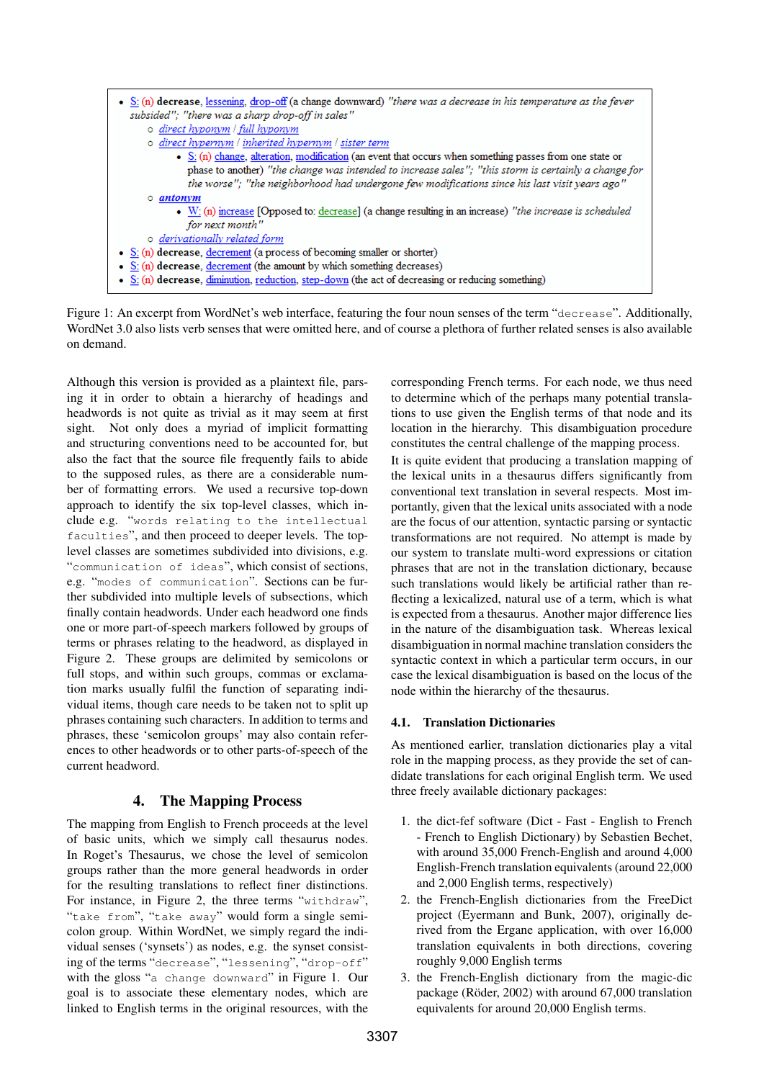

Figure 1: An excerpt from WordNet's web interface, featuring the four noun senses of the term "decrease". Additionally, WordNet 3.0 also lists verb senses that were omitted here, and of course a plethora of further related senses is also available on demand.

Although this version is provided as a plaintext file, parsing it in order to obtain a hierarchy of headings and headwords is not quite as trivial as it may seem at first sight. Not only does a myriad of implicit formatting and structuring conventions need to be accounted for, but also the fact that the source file frequently fails to abide to the supposed rules, as there are a considerable number of formatting errors. We used a recursive top-down approach to identify the six top-level classes, which include e.g. "words relating to the intellectual faculties", and then proceed to deeper levels. The toplevel classes are sometimes subdivided into divisions, e.g. "communication of ideas", which consist of sections, e.g. "modes of communication". Sections can be further subdivided into multiple levels of subsections, which finally contain headwords. Under each headword one finds one or more part-of-speech markers followed by groups of terms or phrases relating to the headword, as displayed in Figure 2. These groups are delimited by semicolons or full stops, and within such groups, commas or exclamation marks usually fulfil the function of separating individual items, though care needs to be taken not to split up phrases containing such characters. In addition to terms and phrases, these 'semicolon groups' may also contain references to other headwords or to other parts-of-speech of the current headword.

# 4. The Mapping Process

The mapping from English to French proceeds at the level of basic units, which we simply call thesaurus nodes. In Roget's Thesaurus, we chose the level of semicolon groups rather than the more general headwords in order for the resulting translations to reflect finer distinctions. For instance, in Figure 2, the three terms "withdraw", "take from", "take away" would form a single semicolon group. Within WordNet, we simply regard the individual senses ('synsets') as nodes, e.g. the synset consisting of the terms "decrease", "lessening", "drop-off" with the gloss "a change downward" in Figure 1. Our goal is to associate these elementary nodes, which are linked to English terms in the original resources, with the corresponding French terms. For each node, we thus need to determine which of the perhaps many potential translations to use given the English terms of that node and its location in the hierarchy. This disambiguation procedure constitutes the central challenge of the mapping process. It is quite evident that producing a translation mapping of the lexical units in a thesaurus differs significantly from conventional text translation in several respects. Most importantly, given that the lexical units associated with a node are the focus of our attention, syntactic parsing or syntactic transformations are not required. No attempt is made by our system to translate multi-word expressions or citation phrases that are not in the translation dictionary, because such translations would likely be artificial rather than reflecting a lexicalized, natural use of a term, which is what is expected from a thesaurus. Another major difference lies in the nature of the disambiguation task. Whereas lexical disambiguation in normal machine translation considers the syntactic context in which a particular term occurs, in our case the lexical disambiguation is based on the locus of the node within the hierarchy of the thesaurus.

# 4.1. Translation Dictionaries

As mentioned earlier, translation dictionaries play a vital role in the mapping process, as they provide the set of candidate translations for each original English term. We used three freely available dictionary packages:

- 1. the dict-fef software (Dict Fast English to French - French to English Dictionary) by Sebastien Bechet, with around 35,000 French-English and around 4,000 English-French translation equivalents (around 22,000 and 2,000 English terms, respectively)
- 2. the French-English dictionaries from the FreeDict project (Eyermann and Bunk, 2007), originally derived from the Ergane application, with over 16,000 translation equivalents in both directions, covering roughly 9,000 English terms
- 3. the French-English dictionary from the magic-dic package (Röder,  $2002$ ) with around  $67,000$  translation equivalents for around 20,000 English terms.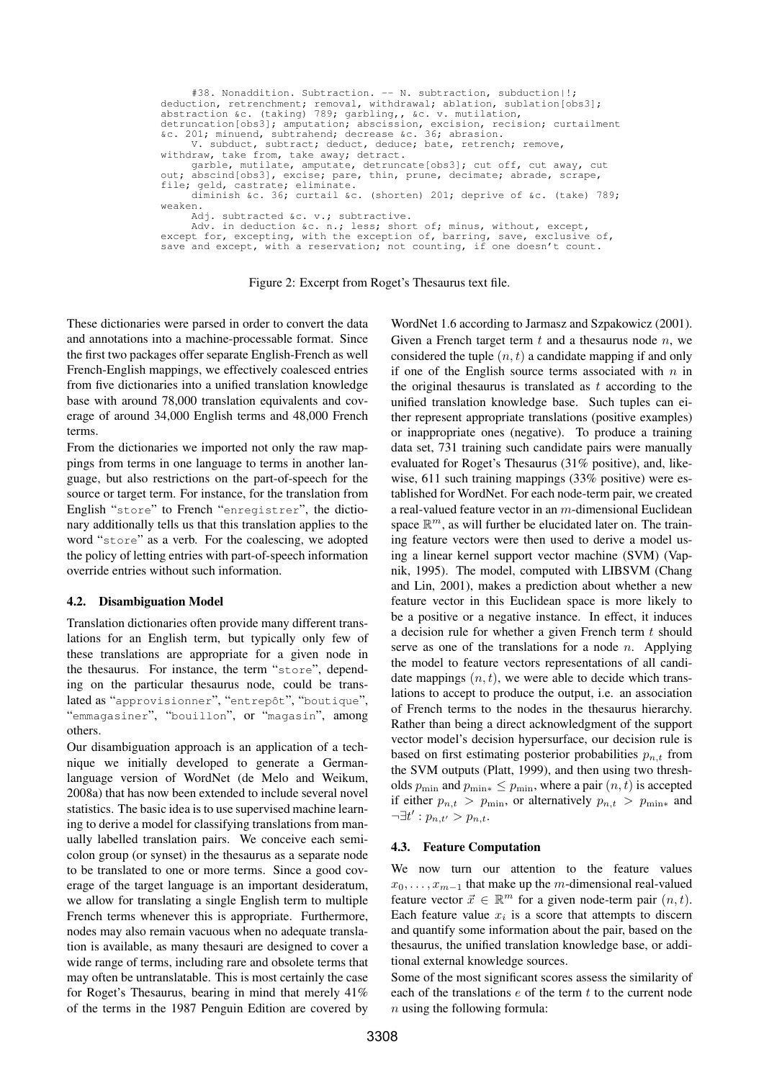#38. Nonaddition. Subtraction. -- N. subtraction, subduction|!; deduction, retrenchment; removal, withdrawal; ablation, sublation[obs3];<br>abstraction &c. (taking) 789; garbling,, &c. v. mutilation,<br>detruncation[obs3]; amputation; abscission, excision; curtailment<br>&c. 201; minuend, subtr withdraw, take from, take away; detract. garble, mutilate, amputate, detruncate[obs3]; cut off, cut away, cut out; abscind[obs3], excise; pare, thin, prune, decimate; abrade, scrape, file; geld, castrate; eliminate. diminish &c. 36; curtail &c. (shorten) 201; deprive of &c. (take) 789; weaken. Adj. subtracted &c. v.; subtractive. Adv. in deduction &c. n.; less; short of; minus, without, except, except for, excepting, with the exception of, barring, save, exclusive of, save and except, with a reservation; not counting, if one doesn't count.

Figure 2: Excerpt from Roget's Thesaurus text file.

These dictionaries were parsed in order to convert the data and annotations into a machine-processable format. Since the first two packages offer separate English-French as well French-English mappings, we effectively coalesced entries from five dictionaries into a unified translation knowledge base with around 78,000 translation equivalents and coverage of around 34,000 English terms and 48,000 French terms.

From the dictionaries we imported not only the raw mappings from terms in one language to terms in another language, but also restrictions on the part-of-speech for the source or target term. For instance, for the translation from English "store" to French "enregistrer", the dictionary additionally tells us that this translation applies to the word "store" as a verb. For the coalescing, we adopted the policy of letting entries with part-of-speech information override entries without such information.

#### 4.2. Disambiguation Model

Translation dictionaries often provide many different translations for an English term, but typically only few of these translations are appropriate for a given node in the thesaurus. For instance, the term "store", depending on the particular thesaurus node, could be translated as "approvisionner", "entrepôt", "boutique", "emmagasiner", "bouillon", or "magasin", among others.

Our disambiguation approach is an application of a technique we initially developed to generate a Germanlanguage version of WordNet (de Melo and Weikum, 2008a) that has now been extended to include several novel statistics. The basic idea is to use supervised machine learning to derive a model for classifying translations from manually labelled translation pairs. We conceive each semicolon group (or synset) in the thesaurus as a separate node to be translated to one or more terms. Since a good coverage of the target language is an important desideratum, we allow for translating a single English term to multiple French terms whenever this is appropriate. Furthermore, nodes may also remain vacuous when no adequate translation is available, as many thesauri are designed to cover a wide range of terms, including rare and obsolete terms that may often be untranslatable. This is most certainly the case for Roget's Thesaurus, bearing in mind that merely 41% of the terms in the 1987 Penguin Edition are covered by

WordNet 1.6 according to Jarmasz and Szpakowicz (2001). Given a French target term  $t$  and a thesaurus node  $n$ , we considered the tuple  $(n, t)$  a candidate mapping if and only if one of the English source terms associated with  $n$  in the original thesaurus is translated as  $t$  according to the unified translation knowledge base. Such tuples can either represent appropriate translations (positive examples) or inappropriate ones (negative). To produce a training data set, 731 training such candidate pairs were manually evaluated for Roget's Thesaurus (31% positive), and, likewise, 611 such training mappings (33% positive) were established for WordNet. For each node-term pair, we created a real-valued feature vector in an m-dimensional Euclidean space  $\mathbb{R}^m$ , as will further be elucidated later on. The training feature vectors were then used to derive a model using a linear kernel support vector machine (SVM) (Vapnik, 1995). The model, computed with LIBSVM (Chang and Lin, 2001), makes a prediction about whether a new feature vector in this Euclidean space is more likely to be a positive or a negative instance. In effect, it induces a decision rule for whether a given French term  $t$  should serve as one of the translations for a node  $n$ . Applying the model to feature vectors representations of all candidate mappings  $(n, t)$ , we were able to decide which translations to accept to produce the output, i.e. an association of French terms to the nodes in the thesaurus hierarchy. Rather than being a direct acknowledgment of the support vector model's decision hypersurface, our decision rule is based on first estimating posterior probabilities  $p_{n,t}$  from the SVM outputs (Platt, 1999), and then using two thresholds  $p_{\min}$  and  $p_{\min*} \leq p_{\min}$ , where a pair  $(n, t)$  is accepted if either  $p_{n,t} > p_{\text{min}}$ , or alternatively  $p_{n,t} > p_{\text{min}}$  and  $\neg \exists t' : p_{n,t'} > p_{n,t}.$ 

#### 4.3. Feature Computation

We now turn our attention to the feature values  $x_0, \ldots, x_{m-1}$  that make up the m-dimensional real-valued feature vector  $\vec{x} \in \mathbb{R}^m$  for a given node-term pair  $(n, t)$ . Each feature value  $x_i$  is a score that attempts to discern and quantify some information about the pair, based on the thesaurus, the unified translation knowledge base, or additional external knowledge sources.

Some of the most significant scores assess the similarity of each of the translations  $e$  of the term  $t$  to the current node  $n$  using the following formula: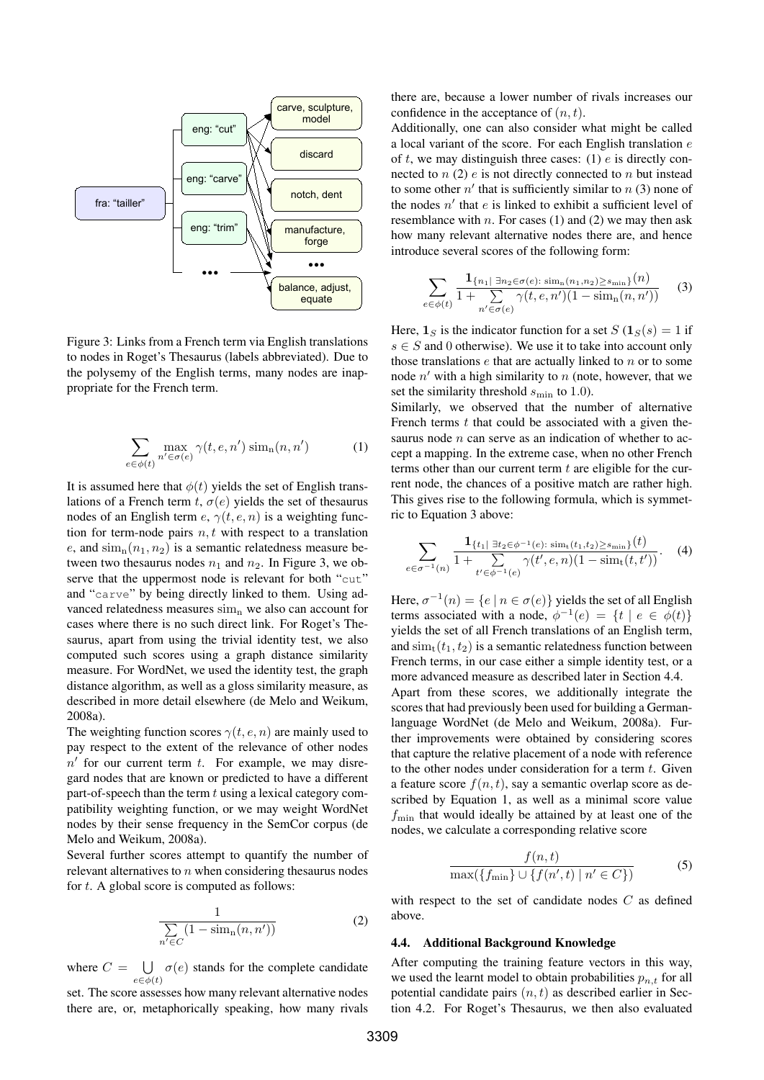

Figure 3: Links from a French term via English translations to nodes in Roget's Thesaurus (labels abbreviated). Due to the polysemy of the English terms, many nodes are inappropriate for the French term.

$$
\sum_{e \in \phi(t)} \max_{n' \in \sigma(e)} \gamma(t, e, n') \operatorname{sim}_n(n, n') \tag{1}
$$

It is assumed here that  $\phi(t)$  yields the set of English translations of a French term t,  $\sigma(e)$  yields the set of thesaurus nodes of an English term  $e, \gamma(t, e, n)$  is a weighting function for term-node pairs  $n, t$  with respect to a translation e, and  $\sin_n(n_1, n_2)$  is a semantic relatedness measure between two thesaurus nodes  $n_1$  and  $n_2$ . In Figure 3, we observe that the uppermost node is relevant for both "cut" and "carve" by being directly linked to them. Using advanced relatedness measures  $\sin n$  we also can account for cases where there is no such direct link. For Roget's Thesaurus, apart from using the trivial identity test, we also computed such scores using a graph distance similarity measure. For WordNet, we used the identity test, the graph distance algorithm, as well as a gloss similarity measure, as described in more detail elsewhere (de Melo and Weikum, 2008a).

The weighting function scores  $\gamma(t, e, n)$  are mainly used to pay respect to the extent of the relevance of other nodes  $n'$  for our current term  $t$ . For example, we may disregard nodes that are known or predicted to have a different part-of-speech than the term  $t$  using a lexical category compatibility weighting function, or we may weight WordNet nodes by their sense frequency in the SemCor corpus (de Melo and Weikum, 2008a).

Several further scores attempt to quantify the number of relevant alternatives to  $n$  when considering thesaurus nodes for  $t$ . A global score is computed as follows:

$$
\frac{1}{\sum_{n' \in C} (1 - \operatorname{sim}_{n}(n, n'))}
$$
 (2)

where  $C = \bigcup \sigma(e)$  stands for the complete candidate  $e \in \phi(t)$ 

set. The score assesses how many relevant alternative nodes there are, or, metaphorically speaking, how many rivals

there are, because a lower number of rivals increases our confidence in the acceptance of  $(n, t)$ .

Additionally, one can also consider what might be called a local variant of the score. For each English translation e of  $t$ , we may distinguish three cases: (1)  $e$  is directly connected to  $n(2)$  e is not directly connected to  $n$  but instead to some other  $n'$  that is sufficiently similar to  $n(3)$  none of the nodes  $n'$  that  $e$  is linked to exhibit a sufficient level of resemblance with n. For cases (1) and (2) we may then ask how many relevant alternative nodes there are, and hence introduce several scores of the following form:

$$
\sum_{e \in \phi(t)} \frac{\mathbf{1}_{\{n_1\} \; \exists n_2 \in \sigma(e) : \; \text{sim}_n(n_1, n_2) \ge s_{\min}\}}{1 + \sum_{n' \in \sigma(e)} \gamma(t, e, n')(1 - \text{sim}_n(n, n'))} \qquad (3)
$$

Here,  $\mathbf{1}_S$  is the indicator function for a set  $S(\mathbf{1}_S(s) = 1$  if  $s \in S$  and 0 otherwise). We use it to take into account only those translations  $e$  that are actually linked to  $n$  or to some node  $n'$  with a high similarity to  $n$  (note, however, that we set the similarity threshold  $s_{\text{min}}$  to 1.0).

Similarly, we observed that the number of alternative French terms  $t$  that could be associated with a given thesaurus node  $n$  can serve as an indication of whether to accept a mapping. In the extreme case, when no other French terms other than our current term  $t$  are eligible for the current node, the chances of a positive match are rather high. This gives rise to the following formula, which is symmetric to Equation 3 above:

$$
\sum_{e \in \sigma^{-1}(n)} \frac{\mathbf{1}_{\{t_1 \mid \exists t_2 \in \phi^{-1}(e) : \sin(t_1, t_2) \ge s_{\min}\}}(t)}{1 + \sum_{t' \in \phi^{-1}(e)} \gamma(t', e, n)(1 - \text{sim}_{t}(t, t'))}.
$$
 (4)

Here,  $\sigma^{-1}(n) = \{e \mid n \in \sigma(e)\}\$  yields the set of all English terms associated with a node,  $\phi^{-1}(e) = \{t \mid e \in \phi(t)\}\$ yields the set of all French translations of an English term, and  $\sinh(t_1, t_2)$  is a semantic relatedness function between French terms, in our case either a simple identity test, or a more advanced measure as described later in Section 4.4. Apart from these scores, we additionally integrate the scores that had previously been used for building a Germanlanguage WordNet (de Melo and Weikum, 2008a). Further improvements were obtained by considering scores that capture the relative placement of a node with reference to the other nodes under consideration for a term  $t$ . Given a feature score  $f(n, t)$ , say a semantic overlap score as described by Equation 1, as well as a minimal score value  $f_{\text{min}}$  that would ideally be attained by at least one of the nodes, we calculate a corresponding relative score

$$
\frac{f(n,t)}{\max(\{f_{\min}\} \cup \{f(n',t) \mid n' \in C\})}
$$
\n
$$
(5)
$$

with respect to the set of candidate nodes C as defined above.

#### 4.4. Additional Background Knowledge

After computing the training feature vectors in this way, we used the learnt model to obtain probabilities  $p_{n,t}$  for all potential candidate pairs  $(n, t)$  as described earlier in Section 4.2. For Roget's Thesaurus, we then also evaluated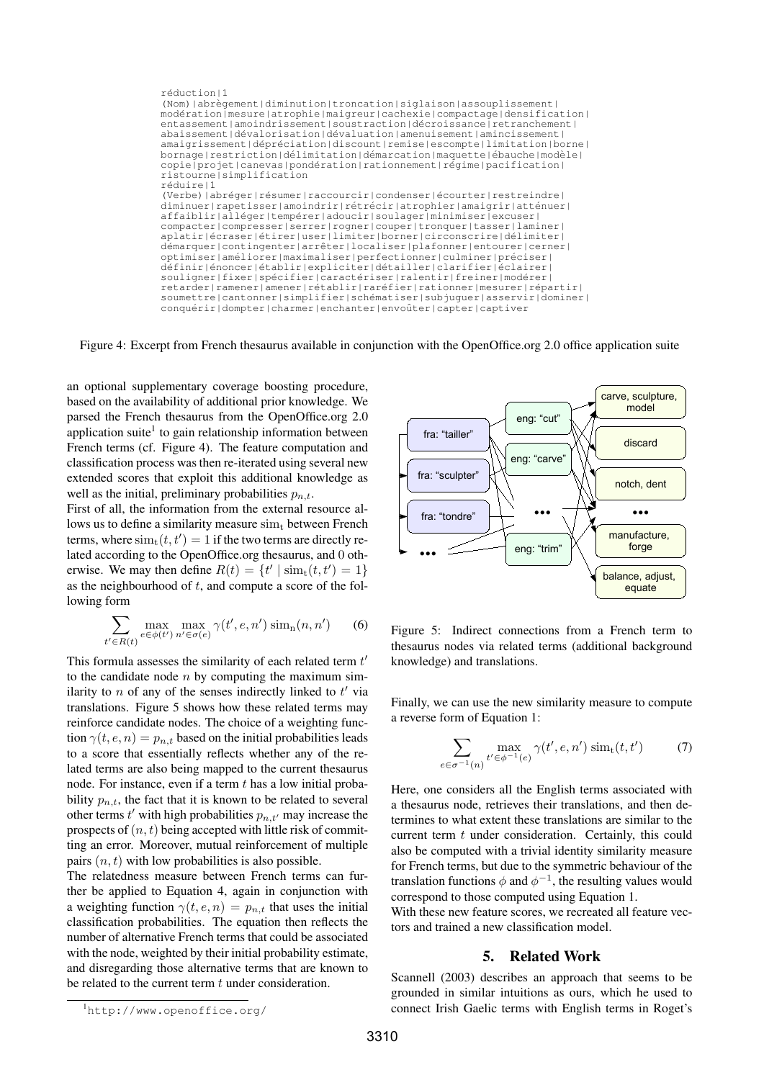

Figure 4: Excerpt from French thesaurus available in conjunction with the OpenOffice.org 2.0 office application suite

an optional supplementary coverage boosting procedure, based on the availability of additional prior knowledge. We parsed the French thesaurus from the OpenOffice.org 2.0 application suite<sup>1</sup> to gain relationship information between French terms (cf. Figure 4). The feature computation and classification process was then re-iterated using several new extended scores that exploit this additional knowledge as well as the initial, preliminary probabilities  $p_{n,t}$ .

First of all, the information from the external resource allows us to define a similarity measure  $\sin<sub>t</sub>$  between French terms, where  $\text{sim}_{t}(t, t') = 1$  if the two terms are directly related according to the OpenOffice.org thesaurus, and 0 otherwise. We may then define  $R(t) = \{t' \mid \text{sim}_{t}(t, t') = 1\}$ as the neighbourhood of  $t$ , and compute a score of the following form

$$
\sum_{t' \in R(t)} \max_{e \in \phi(t')} \max_{n' \in \sigma(e)} \gamma(t', e, n') \operatorname{sim}_n(n, n') \tag{6}
$$

This formula assesses the similarity of each related term  $t'$ to the candidate node  $n$  by computing the maximum similarity to  $n$  of any of the senses indirectly linked to  $t'$  via translations. Figure 5 shows how these related terms may reinforce candidate nodes. The choice of a weighting function  $\gamma(t, e, n) = p_{n,t}$  based on the initial probabilities leads to a score that essentially reflects whether any of the related terms are also being mapped to the current thesaurus node. For instance, even if a term  $t$  has a low initial probability  $p_{n,t}$ , the fact that it is known to be related to several other terms  $t'$  with high probabilities  $p_{n,t'}$  may increase the prospects of  $(n, t)$  being accepted with little risk of committing an error. Moreover, mutual reinforcement of multiple pairs  $(n, t)$  with low probabilities is also possible.

The relatedness measure between French terms can further be applied to Equation 4, again in conjunction with a weighting function  $\gamma(t, e, n) = p_{n,t}$  that uses the initial classification probabilities. The equation then reflects the number of alternative French terms that could be associated with the node, weighted by their initial probability estimate, and disregarding those alternative terms that are known to be related to the current term  $t$  under consideration.



Figure 5: Indirect connections from a French term to thesaurus nodes via related terms (additional background knowledge) and translations.

Finally, we can use the new similarity measure to compute a reverse form of Equation 1:

$$
\sum_{e \in \sigma^{-1}(n)} \max_{t' \in \phi^{-1}(e)} \gamma(t', e, n') \operatorname{sim}_{t}(t, t') \tag{7}
$$

Here, one considers all the English terms associated with a thesaurus node, retrieves their translations, and then determines to what extent these translations are similar to the current term t under consideration. Certainly, this could also be computed with a trivial identity similarity measure for French terms, but due to the symmetric behaviour of the translation functions  $\phi$  and  $\phi^{-1}$ , the resulting values would correspond to those computed using Equation 1.

With these new feature scores, we recreated all feature vectors and trained a new classification model.

### 5. Related Work

Scannell (2003) describes an approach that seems to be grounded in similar intuitions as ours, which he used to connect Irish Gaelic terms with English terms in Roget's

<sup>1</sup>http://www.openoffice.org/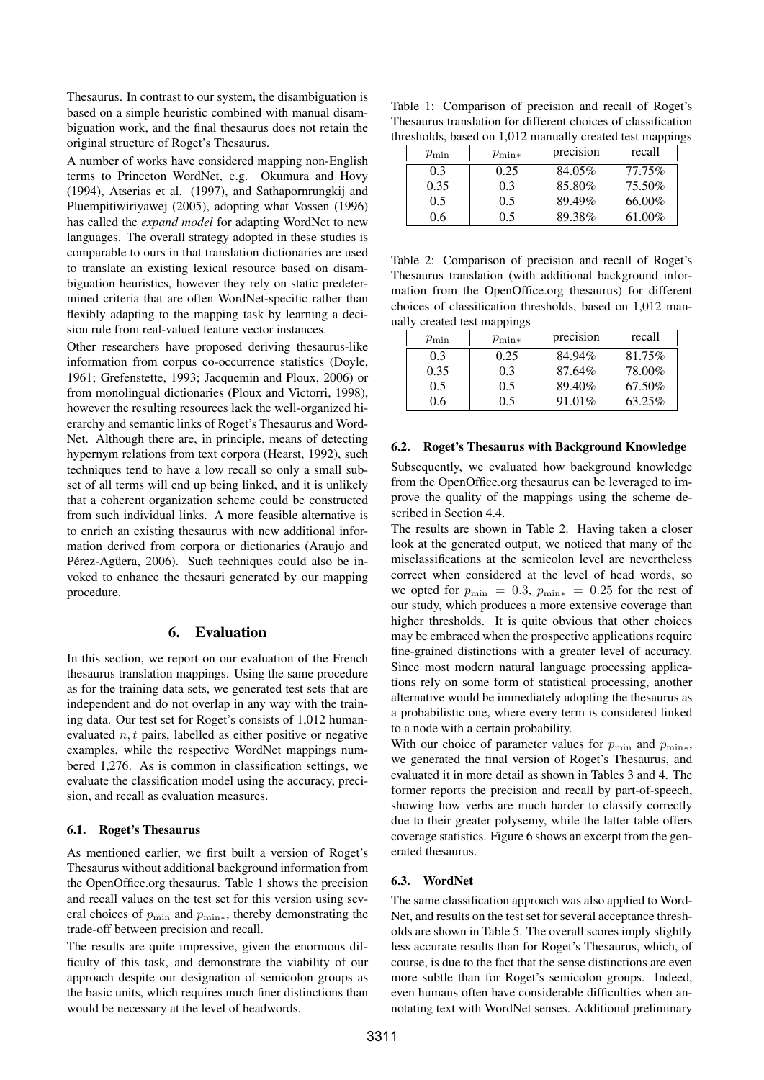Thesaurus. In contrast to our system, the disambiguation is based on a simple heuristic combined with manual disambiguation work, and the final thesaurus does not retain the original structure of Roget's Thesaurus.

A number of works have considered mapping non-English terms to Princeton WordNet, e.g. Okumura and Hovy (1994), Atserias et al. (1997), and Sathapornrungkij and Pluempitiwiriyawej (2005), adopting what Vossen (1996) has called the *expand model* for adapting WordNet to new languages. The overall strategy adopted in these studies is comparable to ours in that translation dictionaries are used to translate an existing lexical resource based on disambiguation heuristics, however they rely on static predetermined criteria that are often WordNet-specific rather than flexibly adapting to the mapping task by learning a decision rule from real-valued feature vector instances.

Other researchers have proposed deriving thesaurus-like information from corpus co-occurrence statistics (Doyle, 1961; Grefenstette, 1993; Jacquemin and Ploux, 2006) or from monolingual dictionaries (Ploux and Victorri, 1998), however the resulting resources lack the well-organized hierarchy and semantic links of Roget's Thesaurus and Word-Net. Although there are, in principle, means of detecting hypernym relations from text corpora (Hearst, 1992), such techniques tend to have a low recall so only a small subset of all terms will end up being linked, and it is unlikely that a coherent organization scheme could be constructed from such individual links. A more feasible alternative is to enrich an existing thesaurus with new additional information derived from corpora or dictionaries (Araujo and Pérez-Agüera, 2006). Such techniques could also be invoked to enhance the thesauri generated by our mapping procedure.

#### 6. Evaluation

In this section, we report on our evaluation of the French thesaurus translation mappings. Using the same procedure as for the training data sets, we generated test sets that are independent and do not overlap in any way with the training data. Our test set for Roget's consists of 1,012 humanevaluated  $n, t$  pairs, labelled as either positive or negative examples, while the respective WordNet mappings numbered 1,276. As is common in classification settings, we evaluate the classification model using the accuracy, precision, and recall as evaluation measures.

#### 6.1. Roget's Thesaurus

As mentioned earlier, we first built a version of Roget's Thesaurus without additional background information from the OpenOffice.org thesaurus. Table 1 shows the precision and recall values on the test set for this version using several choices of  $p_{\min}$  and  $p_{\min*}$ , thereby demonstrating the trade-off between precision and recall.

The results are quite impressive, given the enormous difficulty of this task, and demonstrate the viability of our approach despite our designation of semicolon groups as the basic units, which requires much finer distinctions than would be necessary at the level of headwords.

Table 1: Comparison of precision and recall of Roget's Thesaurus translation for different choices of classification thresholds, based on 1,012 manually created test mappings

| $p_{\rm min}$ | $p_{\min*}$ | precision | recall |
|---------------|-------------|-----------|--------|
| 0.3           | 0.25        | 84.05%    | 77.75% |
| 0.35          | 0.3         | 85.80%    | 75.50% |
| 0.5           | 0.5         | 89.49%    | 66.00% |
| 0.6           | 0.5         | 89.38%    | 61.00% |

Table 2: Comparison of precision and recall of Roget's Thesaurus translation (with additional background information from the OpenOffice.org thesaurus) for different choices of classification thresholds, based on 1,012 manually created test mappings

| $p_{\rm min}$ | $p_{\min*}$ | precision | recall |
|---------------|-------------|-----------|--------|
| 0.3           | 0.25        | 84.94%    | 81.75% |
| 0.35          | 0.3         | 87.64%    | 78.00% |
| 0.5           | 0.5         | 89.40%    | 67.50% |
| 0.6           | $0.5 -$     | 91.01\%   | 63.25% |

#### 6.2. Roget's Thesaurus with Background Knowledge

Subsequently, we evaluated how background knowledge from the OpenOffice.org thesaurus can be leveraged to improve the quality of the mappings using the scheme described in Section 4.4.

The results are shown in Table 2. Having taken a closer look at the generated output, we noticed that many of the misclassifications at the semicolon level are nevertheless correct when considered at the level of head words, so we opted for  $p_{\min} = 0.3$ ,  $p_{\min*} = 0.25$  for the rest of our study, which produces a more extensive coverage than higher thresholds. It is quite obvious that other choices may be embraced when the prospective applications require fine-grained distinctions with a greater level of accuracy. Since most modern natural language processing applications rely on some form of statistical processing, another alternative would be immediately adopting the thesaurus as a probabilistic one, where every term is considered linked to a node with a certain probability.

With our choice of parameter values for  $p_{\min}$  and  $p_{\min*}$ , we generated the final version of Roget's Thesaurus, and evaluated it in more detail as shown in Tables 3 and 4. The former reports the precision and recall by part-of-speech, showing how verbs are much harder to classify correctly due to their greater polysemy, while the latter table offers coverage statistics. Figure 6 shows an excerpt from the generated thesaurus.

# 6.3. WordNet

The same classification approach was also applied to Word-Net, and results on the test set for several acceptance thresholds are shown in Table 5. The overall scores imply slightly less accurate results than for Roget's Thesaurus, which, of course, is due to the fact that the sense distinctions are even more subtle than for Roget's semicolon groups. Indeed, even humans often have considerable difficulties when annotating text with WordNet senses. Additional preliminary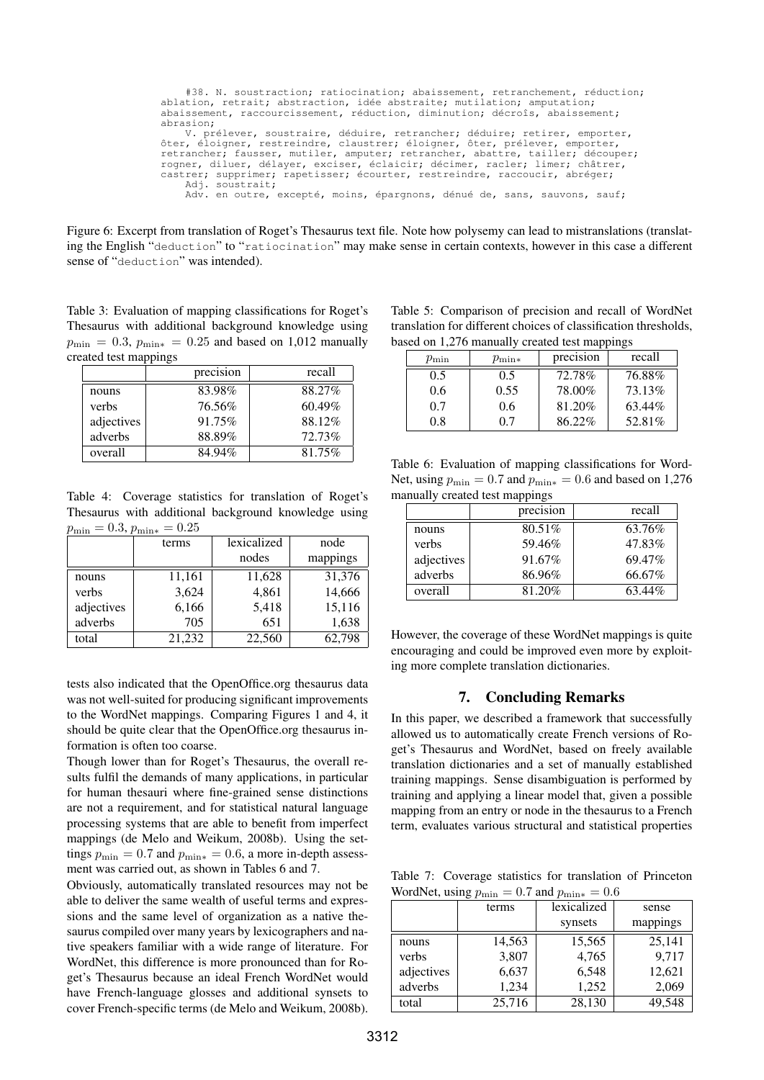| #38. N. soustraction; ratiocination; abaissement, retranchement, réduction;    |  |  |  |  |  |  |
|--------------------------------------------------------------------------------|--|--|--|--|--|--|
| ablation, retrait; abstraction, idée abstraite; mutilation; amputation;        |  |  |  |  |  |  |
| abaissement, raccourcissement, réduction, diminution; décroîs, abaissement;    |  |  |  |  |  |  |
| abrasion;                                                                      |  |  |  |  |  |  |
| V. prélever, soustraire, déduire, retrancher; déduire; retirer, emporter,      |  |  |  |  |  |  |
| ôter, éloigner, restreindre, claustrer; éloigner, ôter, prélever, emporter,    |  |  |  |  |  |  |
| retrancher; fausser, mutiler, amputer; retrancher, abattre, tailler; découper; |  |  |  |  |  |  |
| rogner, diluer, délayer, exciser, éclaicir; décimer, racler; limer; châtrer,   |  |  |  |  |  |  |
| castrer; supprimer; rapetisser; écourter, restreindre, raccoucir, abréger;     |  |  |  |  |  |  |
| Adj. soustrait;                                                                |  |  |  |  |  |  |
| Adv. en outre, excepté, moins, épargnons, dénué de, sans, sauvons, sauf;       |  |  |  |  |  |  |
|                                                                                |  |  |  |  |  |  |

Figure 6: Excerpt from translation of Roget's Thesaurus text file. Note how polysemy can lead to mistranslations (translating the English "deduction" to "ratiocination" may make sense in certain contexts, however in this case a different sense of "deduction" was intended).

Table 3: Evaluation of mapping classifications for Roget's Thesaurus with additional background knowledge using  $p_{\min} = 0.3$ ,  $p_{\min*} = 0.25$  and based on 1,012 manually created test mappings

|            | precision | recall |
|------------|-----------|--------|
| nouns      | 83.98%    | 88.27% |
| verbs      | 76.56%    | 60.49% |
| adjectives | 91.75%    | 88.12% |
| adverbs    | 88.89%    | 72.73% |
| overall    | 84.94%    | 81.75% |

Table 4: Coverage statistics for translation of Roget's Thesaurus with additional background knowledge using  $p_{\min} = 0.3, p_{\min*} = 0.25$ 

|            | terms  | lexicalized | node     |
|------------|--------|-------------|----------|
|            |        | nodes       | mappings |
| nouns      | 11,161 | 11,628      | 31,376   |
| verbs      | 3,624  | 4,861       | 14,666   |
| adjectives | 6,166  | 5,418       | 15,116   |
| adverbs    | 705    | 651         | 1,638    |
| total      | 21,232 | 22,560      | 62,798   |

tests also indicated that the OpenOffice.org thesaurus data was not well-suited for producing significant improvements to the WordNet mappings. Comparing Figures 1 and 4, it should be quite clear that the OpenOffice.org thesaurus information is often too coarse.

Though lower than for Roget's Thesaurus, the overall results fulfil the demands of many applications, in particular for human thesauri where fine-grained sense distinctions are not a requirement, and for statistical natural language processing systems that are able to benefit from imperfect mappings (de Melo and Weikum, 2008b). Using the settings  $p_{\min} = 0.7$  and  $p_{\min*} = 0.6$ , a more in-depth assessment was carried out, as shown in Tables 6 and 7.

Obviously, automatically translated resources may not be able to deliver the same wealth of useful terms and expressions and the same level of organization as a native thesaurus compiled over many years by lexicographers and native speakers familiar with a wide range of literature. For WordNet, this difference is more pronounced than for Roget's Thesaurus because an ideal French WordNet would have French-language glosses and additional synsets to cover French-specific terms (de Melo and Weikum, 2008b).

Table 5: Comparison of precision and recall of WordNet translation for different choices of classification thresholds, based on 1,276 manually created test mappings

| $p_{\rm min}$ | $p_{\rm min*}$ | precision | recall |
|---------------|----------------|-----------|--------|
| 0.5           | 0.5            | 72.78%    | 76.88% |
| 0.6           | 0.55           | 78.00%    | 73.13% |
| 0.7           | 0.6            | 81.20%    | 63.44% |
| 0.8           | 07             | 86.22%    | 52.81% |

Table 6: Evaluation of mapping classifications for Word-Net, using  $p_{\min} = 0.7$  and  $p_{\min*} = 0.6$  and based on 1,276 manually created test mappings

|            | precision | recall |  |
|------------|-----------|--------|--|
| nouns      | 80.51%    | 63.76% |  |
| verbs      | 59.46%    | 47.83% |  |
| adjectives | 91.67%    | 69.47% |  |
| adverbs    | 86.96%    | 66.67% |  |
| overall    | 81.20%    | 63.44% |  |

However, the coverage of these WordNet mappings is quite encouraging and could be improved even more by exploiting more complete translation dictionaries.

#### 7. Concluding Remarks

In this paper, we described a framework that successfully allowed us to automatically create French versions of Roget's Thesaurus and WordNet, based on freely available translation dictionaries and a set of manually established training mappings. Sense disambiguation is performed by training and applying a linear model that, given a possible mapping from an entry or node in the thesaurus to a French term, evaluates various structural and statistical properties

Table 7: Coverage statistics for translation of Princeton WordNet, using  $p_{\min} = 0.7$  and  $p_{\min*} = 0.6$ 

|            | terms  | lexicalized | sense    |
|------------|--------|-------------|----------|
|            |        | synsets     | mappings |
| nouns      | 14,563 | 15,565      | 25,141   |
| verbs      | 3,807  | 4,765       | 9,717    |
| adjectives | 6,637  | 6,548       | 12,621   |
| adverbs    | 1,234  | 1,252       | 2,069    |
| total      | 25,716 | 28,130      | 49,548   |